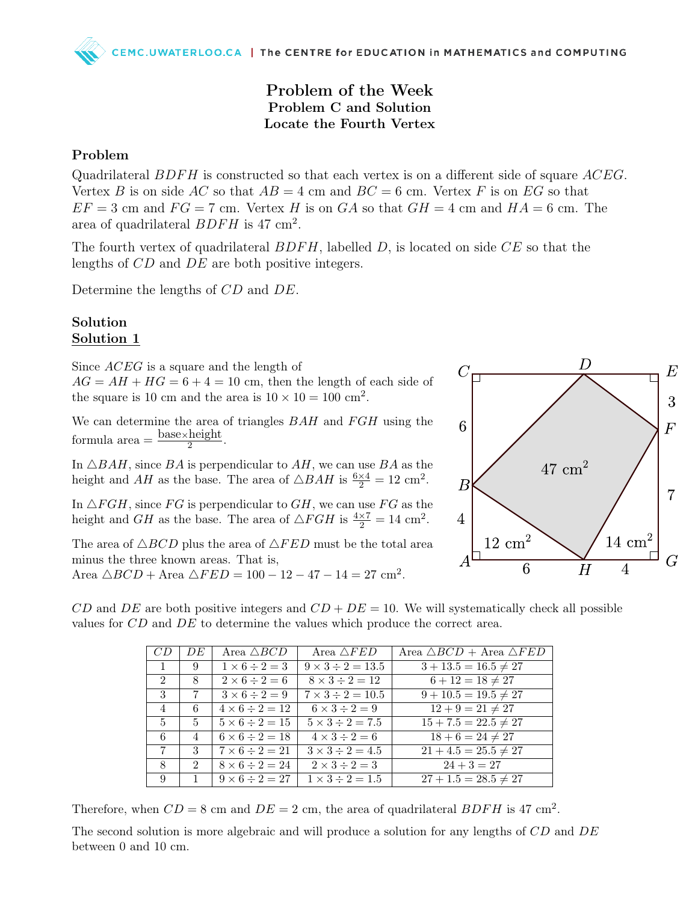# Problem of the Week Problem C and Solution Locate the Fourth Vertex

### Problem

Quadrilateral  $BDFH$  is constructed so that each vertex is on a different side of square  $ACEG$ . Vertex B is on side AC so that  $AB = 4$  cm and  $BC = 6$  cm. Vertex F is on EG so that  $EF = 3$  cm and  $FG = 7$  cm. Vertex H is on GA so that  $GH = 4$  cm and  $HA = 6$  cm. The area of quadrilateral  $BDFH$  is 47 cm<sup>2</sup>.

The fourth vertex of quadrilateral  $BDFH$ , labelled D, is located on side  $CE$  so that the lengths of CD and DE are both positive integers.

Determine the lengths of CD and DE.

#### Solution Solution 1

Since *ACEG* is a square and the length of  $AG = AH + HG = 6 + 4 = 10$  cm, then the length of each side of the square is 10 cm and the area is  $10 \times 10 = 100$  cm<sup>2</sup>.

We can determine the area of triangles  $BAH$  and  $FGH$  using the formula area  $=\frac{\text{base} \times \text{height}}{2}$ 2 .

In  $\triangle BAH$ , since BA is perpendicular to AH, we can use BA as the height and  $AH$  as the base. The area of  $\triangle BAH$  is  $\frac{6\times4}{2} = 12$  cm<sup>2</sup>.

In  $\triangle FGH$ , since FG is perpendicular to GH, we can use FG as the height and *GH* as the base. The area of  $\triangle FGH$  is  $\frac{4\times7}{2} = 14$  cm<sup>2</sup>.

The area of  $\triangle BCD$  plus the area of  $\triangle FED$  must be the total area minus the three known areas. That is,

Area  $\triangle BCD + \text{Area }\triangle FED = 100 - 12 - 47 - 14 = 27 \text{ cm}^2$ .



CD and DE are both positive integers and  $CD + DE = 10$ . We will systematically check all possible values for CD and DE to determine the values which produce the correct area.

| $CD^-$         | DE             | Area $\triangle BCD$     | Area $\triangle FED$       | Area $\triangle BCD$ + Area $\triangle FED$ |
|----------------|----------------|--------------------------|----------------------------|---------------------------------------------|
| $\mathbf{1}$   | 9              | $1 \times 6 \div 2 = 3$  | $9 \times 3 \div 2 = 13.5$ | $3 + 13.5 = 16.5 \neq 27$                   |
| 2              | 8              | $2 \times 6 \div 2 = 6$  | $8 \times 3 \div 2 = 12$   | $6 + 12 = 18 \neq 27$                       |
| $\mathbf{3}$   | -7             | $3 \times 6 \div 2 = 9$  | $7 \times 3 \div 2 = 10.5$ | $9 + 10.5 = 19.5 \neq 27$                   |
| 4              | 6              | $4 \times 6 \div 2 = 12$ | $6 \times 3 \div 2 = 9$    | $12 + 9 = 21 \neq 27$                       |
| $5^{\circ}$    | 5              | $5 \times 6 \div 2 = 15$ | $5 \times 3 \div 2 = 7.5$  | $15 + 7.5 = 22.5 \neq 27$                   |
| 6              | 4              | $6 \times 6 \div 2 = 18$ | $4 \times 3 \div 2 = 6$    | $18 + 6 = 24 \neq 27$                       |
| $7\phantom{.}$ | 3              | $7 \times 6 \div 2 = 21$ | $3 \times 3 \div 2 = 4.5$  | $21 + 4.5 = 25.5 \neq 27$                   |
| 8              | 2              | $8 \times 6 \div 2 = 24$ | $2 \times 3 \div 2 = 3$    | $24 + 3 = 27$                               |
| 9              | $\overline{1}$ | $9 \times 6 \div 2 = 27$ | $1 \times 3 \div 2 = 1.5$  | $27 + 1.5 = 28.5 \neq 27$                   |

Therefore, when  $CD = 8$  cm and  $DE = 2$  cm, the area of quadrilateral  $BDFH$  is 47 cm<sup>2</sup>.

The second solution is more algebraic and will produce a solution for any lengths of CD and DE between 0 and 10 cm.